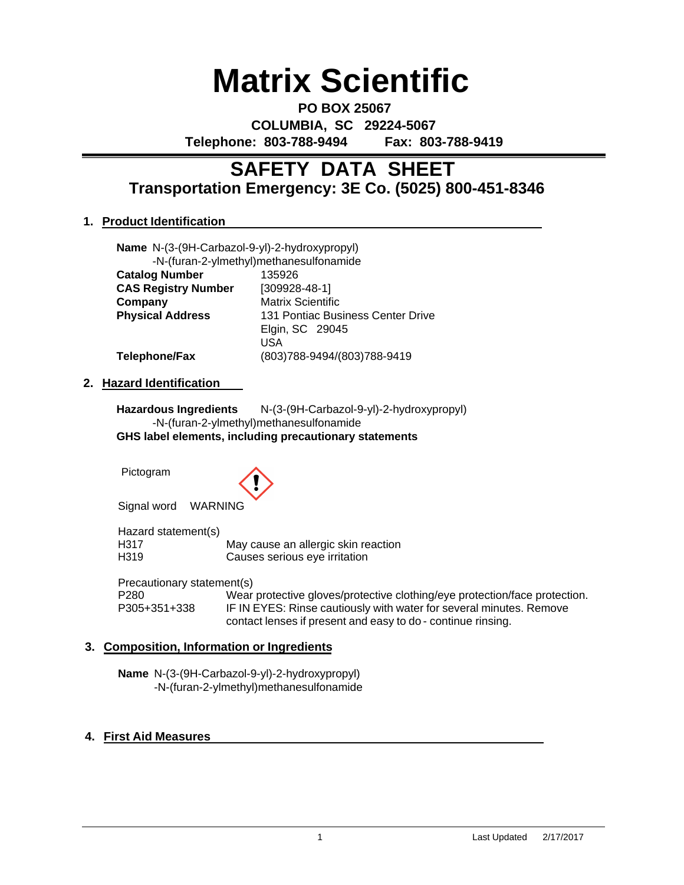# **Matrix Scientific**

**PO BOX 25067 COLUMBIA, SC 29224-5067 Telephone: 803-788-9494 Fax: 803-788-9419**

# **Transportation Emergency: 3E Co. (5025) 800-451-8346 SAFETY DATA SHEET**

# **1. Product Identification**

| Name N-(3-(9H-Carbazol-9-yl)-2-hydroxypropyl) | -N-(furan-2-ylmethyl)methanesulfonamide |  |  |
|-----------------------------------------------|-----------------------------------------|--|--|
| <b>Catalog Number</b>                         | 135926                                  |  |  |
| <b>CAS Registry Number</b>                    | $[309928-48-1]$                         |  |  |
| Company                                       | <b>Matrix Scientific</b>                |  |  |
| <b>Physical Address</b>                       | 131 Pontiac Business Center Drive       |  |  |
|                                               | Elgin, SC 29045                         |  |  |
|                                               | USA                                     |  |  |
| Telephone/Fax                                 | (803)788-9494/(803)788-9419             |  |  |

# **2. Hazard Identification**

**Hazardous Ingredients** N-(3-(9H-Carbazol-9-yl)-2-hydroxypropyl) -N-(furan-2-ylmethyl)methanesulfonamide **GHS label elements, including precautionary statements**

Pictogram



Signal word WARNING

Hazard statement(s) H317 May cause an allergic skin reaction<br>
H319 Causes serious eve irritation Causes serious eye irritation

Precautionary statement(s)

P280 Wear protective gloves/protective clothing/eye protection/face protection.<br>P305+351+338 IF IN EYES: Rinse cautiously with water for several minutes. Remove IF IN EYES: Rinse cautiously with water for several minutes. Remove contact lenses if present and easy to do - continue rinsing.

# **3. Composition, Information or Ingredients**

**Name** N-(3-(9H-Carbazol-9-yl)-2-hydroxypropyl) -N-(furan-2-ylmethyl)methanesulfonamide

# **4. First Aid Measures**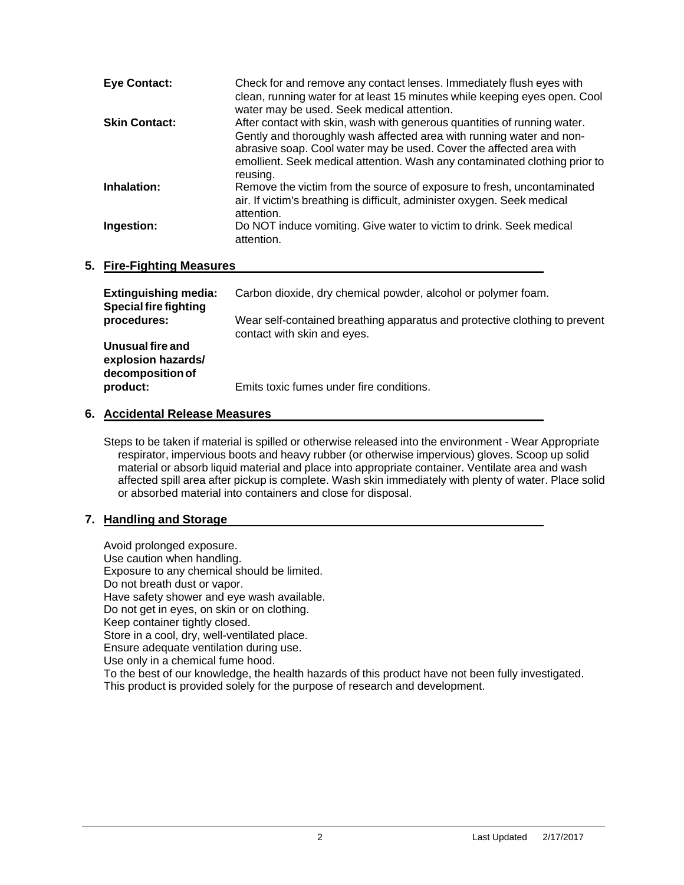| <b>Eye Contact:</b>  | Check for and remove any contact lenses. Immediately flush eyes with<br>clean, running water for at least 15 minutes while keeping eyes open. Cool<br>water may be used. Seek medical attention.                                                                                                                  |
|----------------------|-------------------------------------------------------------------------------------------------------------------------------------------------------------------------------------------------------------------------------------------------------------------------------------------------------------------|
| <b>Skin Contact:</b> | After contact with skin, wash with generous quantities of running water.<br>Gently and thoroughly wash affected area with running water and non-<br>abrasive soap. Cool water may be used. Cover the affected area with<br>emollient. Seek medical attention. Wash any contaminated clothing prior to<br>reusing. |
| Inhalation:          | Remove the victim from the source of exposure to fresh, uncontaminated<br>air. If victim's breathing is difficult, administer oxygen. Seek medical<br>attention.                                                                                                                                                  |
| Ingestion:           | Do NOT induce vomiting. Give water to victim to drink. Seek medical<br>attention.                                                                                                                                                                                                                                 |

# **5. Fire-Fighting Measures**

| <b>Extinguishing media:</b><br><b>Special fire fighting</b><br>procedures: | Carbon dioxide, dry chemical powder, alcohol or polymer foam.                                             |  |
|----------------------------------------------------------------------------|-----------------------------------------------------------------------------------------------------------|--|
|                                                                            | Wear self-contained breathing apparatus and protective clothing to prevent<br>contact with skin and eyes. |  |
| Unusual fire and<br>explosion hazards/<br>decomposition of                 |                                                                                                           |  |
| product:                                                                   | Emits toxic fumes under fire conditions.                                                                  |  |

# **6. Accidental Release Measures**

Steps to be taken if material is spilled or otherwise released into the environment - Wear Appropriate respirator, impervious boots and heavy rubber (or otherwise impervious) gloves. Scoop up solid material or absorb liquid material and place into appropriate container. Ventilate area and wash affected spill area after pickup is complete. Wash skin immediately with plenty of water. Place solid or absorbed material into containers and close for disposal.

# **7. Handling and Storage**

Avoid prolonged exposure. Use caution when handling. Exposure to any chemical should be limited. Do not breath dust or vapor. Have safety shower and eye wash available. Do not get in eyes, on skin or on clothing. Keep container tightly closed. Store in a cool, dry, well-ventilated place. Ensure adequate ventilation during use. Use only in a chemical fume hood. To the best of our knowledge, the health hazards of this product have not been fully investigated. This product is provided solely for the purpose of research and development.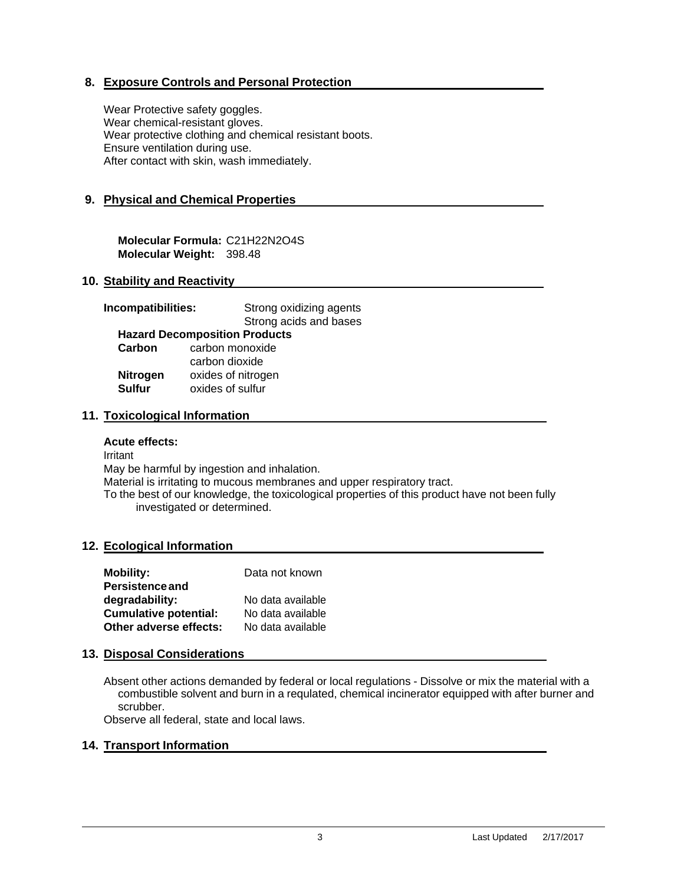# **8. Exposure Controls and Personal Protection**

Wear Protective safety goggles. Wear chemical-resistant gloves. Wear protective clothing and chemical resistant boots. Ensure ventilation during use. After contact with skin, wash immediately.

# **9. Physical and Chemical Properties**

**Molecular Formula:** C21H22N2O4S **Molecular Weight:** 398.48

# **10. Stability and Reactivity**

| Incompatibilities: | Strong oxidizing agents              |  |
|--------------------|--------------------------------------|--|
|                    | Strong acids and bases               |  |
|                    | <b>Hazard Decomposition Products</b> |  |
| Carbon             | carbon monoxide                      |  |
|                    | carbon dioxide                       |  |
| <b>Nitrogen</b>    | oxides of nitrogen                   |  |
| <b>Sulfur</b>      | oxides of sulfur                     |  |
|                    |                                      |  |

# **11. Toxicological Information**

#### **Acute effects:**

Irritant May be harmful by ingestion and inhalation. Material is irritating to mucous membranes and upper respiratory tract. To the best of our knowledge, the toxicological properties of this product have not been fully investigated or determined.

# **12. Ecological Information**

| <b>Mobility:</b>             | Data not known    |
|------------------------------|-------------------|
| <b>Persistence and</b>       |                   |
| degradability:               | No data available |
| <b>Cumulative potential:</b> | No data available |
| Other adverse effects:       | No data available |

# **13. Disposal Considerations**

Absent other actions demanded by federal or local regulations - Dissolve or mix the material with a combustible solvent and burn in a requlated, chemical incinerator equipped with after burner and scrubber.

Observe all federal, state and local laws.

# **14. Transport Information**